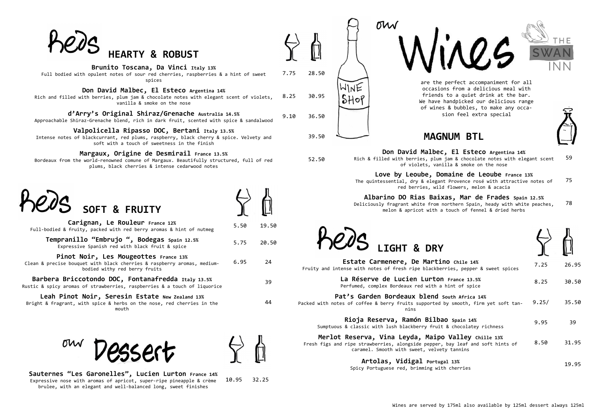**Sauternes "Les Garonelles", Lucien Lurton France 14%** Expressive nose with aromas of apricot, super-ripe pineapple & crème brulee, with an elegant and well-balanced long, sweet finishes

10.95 32.25



Rich & filled with berries, plum of violets, vani

ow

Love by Leoube, Dor



**Carignan, Le Rouleur France 12%** Full-bodied & fruity, packed with red berry aromas & hint of nutmeg

**Pinot Noir, Les Mougeottes** France 13% Clean & precise bouquet with black cherries & raspberry aromas, mediumbodied withy red berry fruits

5.50 19.50

**Tempranillo "Embrujo ", Bodegas Spain 12.5%** Expressive Spanish red with black fruit & spice 5.75 20.50

6.95 24

**Barbera Briccotondo DOC, Fontanafredda Italy 13.5%** Rustic & spicy aromas of strawberries, raspberries & a touch of liquorice

39

**Leah Pinot Noir, Seresin Estate New Zealand 13%** Bright & fragrant, with spice & herbs on the nose, red cherries in the mouth



44

## **MAGNUM BTL**



**Pat's Garden Bordeaux blend South Africa 15** Packed with notes of coffee & berry fruits supported by nins

| Don David Malbec, El Esteco Argentina 14%                       |
|-----------------------------------------------------------------|
| led with berries, plum jam & chocolate notes with elegant scent |
| of violets, vanilla & smoke on the nose                         |
| by <b>by Leoube, Domaine de Leoube</b> France 13%               |

**Rioja Reserva, Ramón Bilbao Spain 14%** Sumptuous & classic with lush blackberry fruit &

**Merlot Reserva, Vina Leyda, Maipo** Fresh figs and ripe strawberries, alongside pepper, b caramel. Smooth with sweet, velvety

59

The quintessential, dry & elegant Provence rosé with attractive notes of red berries, wild flowers, melon & acacia 75

**Albarino DO Rias Baixas, Mar de Frades Spain 12.5%** Deliciously fragrant white from northern Spain, heady with white peaches, melon & apricot with a touch of fennel & dried herbs 78





**Estate Carmenere, De Martino** Fruity and intense with notes of fresh ripe blackberr:

> **La Réserve de Lucien Lurton** Perfumed, complex Bordeaux red with a hi

| Chile 14%<br>ies, pepper & sweet spices                   | 7.25  | 26.95 |
|-----------------------------------------------------------|-------|-------|
| France 13.5%<br>int of spice                              | 8.25  | 30.50 |
| uth Africa 14%<br>smooth, firm yet soft tan-              | 9.25/ | 35.50 |
| Spain 14%<br>chocolatey richness                          | 9.95  | 39    |
| Valley Chille 13%<br>ay leaf and soft hints of<br>tannins | 8.50  | 31.95 |
| . 13%                                                     |       | 19.95 |

**Artolas, Vidigal Portugal 13%** Spicy Portuguese red, brimming with cherries



| heds |                            |  |
|------|----------------------------|--|
|      | <b>HEARTY &amp; ROBUST</b> |  |

| Brunito Toscana, Da Vinci Italy 13% |  |  |  |
|-------------------------------------|--|--|--|
|-------------------------------------|--|--|--|

Full bodied with opulent notes of sour red cherries, raspberries & a hint of sweet spices

7.75 28.50

## **Don David Malbec, El Esteco Argentina 14%**

Rich and filled with berries, plum jam & chocolate notes with elegant scent of violets, vanilla & smoke on the nose 8.25 30.95

**d'Arry's Original Shiraz/Grenache Australia 14.5%** Approachable Shiraz-Grenache blend, rich in dark fruit, scented with spice & sandalwood 9.10 36.50

## **Valpolicella Ripasso DOC, Bertani Italy 13.5%**

Intense notes of blackcurrant, red plums, raspberry, black cherry & spice. Velvety and soft with a touch of sweetness in the finish

39.50

WINE

 $$H of$ 

### **Margaux, Origine de Desmirail France 13.5%**

Bordeaux from the world-renowned comune of Margaux. Beautifully structured, full of red plums, black cherries & intense cedarwood notes

52.50

are the perfect accompaniment for all occasions from a delicious meal with friends to a quiet drink at the bar. We have handpicked our delicious range of wines & bubbles, to make any occasion feel extra special